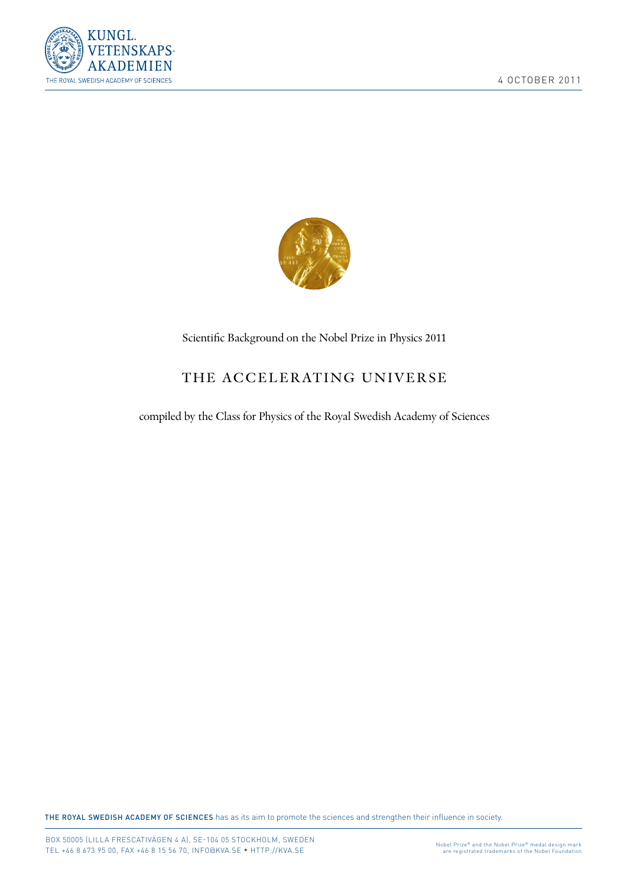



Scientific Background on the Nobel Prize in Physics 2011

# THE aCCELERATING UNIVERSE

compiled by the Class for Physics of the Royal Swedish Academy of Sciences

THE ROYAL SWEDISH ACADEMY OF SCIENCES has as its aim to promote the sciences and strengthen their influence in society.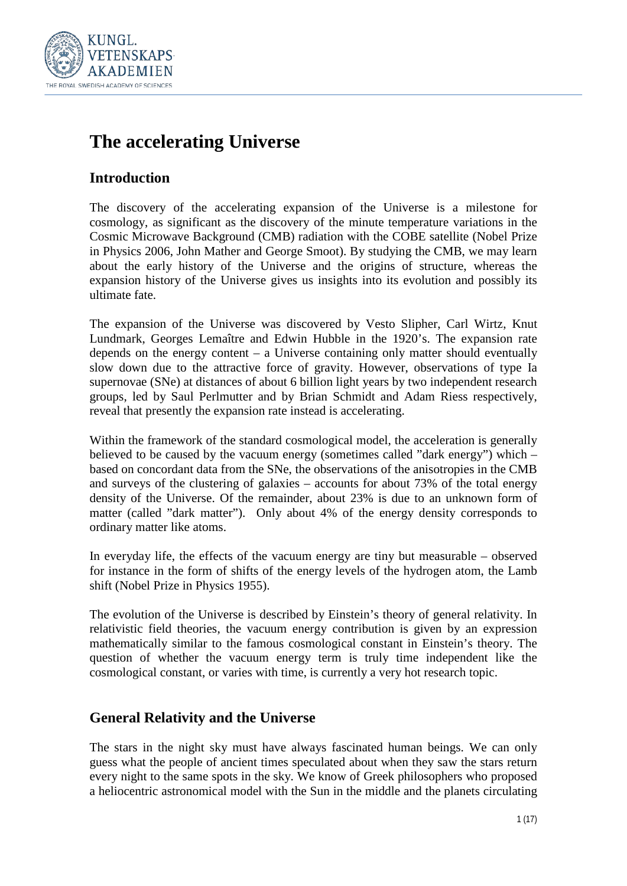

# **The accelerating Universe**

# **Introduction**

The discovery of the accelerating expansion of the Universe is a milestone for cosmology, as significant as the discovery of the minute temperature variations in the Cosmic Microwave Background (CMB) radiation with the COBE satellite (Nobel Prize in Physics 2006, John Mather and George Smoot). By studying the CMB, we may learn about the early history of the Universe and the origins of structure, whereas the expansion history of the Universe gives us insights into its evolution and possibly its ultimate fate.

The expansion of the Universe was discovered by Vesto Slipher, Carl Wirtz, Knut Lundmark, Georges Lemaître and Edwin Hubble in the 1920's. The expansion rate depends on the energy content  $-$  a Universe containing only matter should eventually slow down due to the attractive force of gravity. However, observations of type Ia supernovae (SNe) at distances of about 6 billion light years by two independent research groups, led by Saul Perlmutter and by Brian Schmidt and Adam Riess respectively, reveal that presently the expansion rate instead is accelerating.

Within the framework of the standard cosmological model, the acceleration is generally believed to be caused by the vacuum energy (sometimes called "dark energy") which – based on concordant data from the SNe, the observations of the anisotropies in the CMB and surveys of the clustering of galaxies – accounts for about 73% of the total energy density of the Universe. Of the remainder, about 23% is due to an unknown form of matter (called "dark matter"). Only about 4% of the energy density corresponds to ordinary matter like atoms.

In everyday life, the effects of the vacuum energy are tiny but measurable – observed for instance in the form of shifts of the energy levels of the hydrogen atom, the Lamb shift (Nobel Prize in Physics 1955).

The evolution of the Universe is described by Einstein's theory of general relativity. In relativistic field theories, the vacuum energy contribution is given by an expression mathematically similar to the famous cosmological constant in Einstein's theory. The question of whether the vacuum energy term is truly time independent like the cosmological constant, or varies with time, is currently a very hot research topic.

#### **General Relativity and the Universe**

The stars in the night sky must have always fascinated human beings. We can only guess what the people of ancient times speculated about when they saw the stars return every night to the same spots in the sky. We know of Greek philosophers who proposed a heliocentric astronomical model with the Sun in the middle and the planets circulating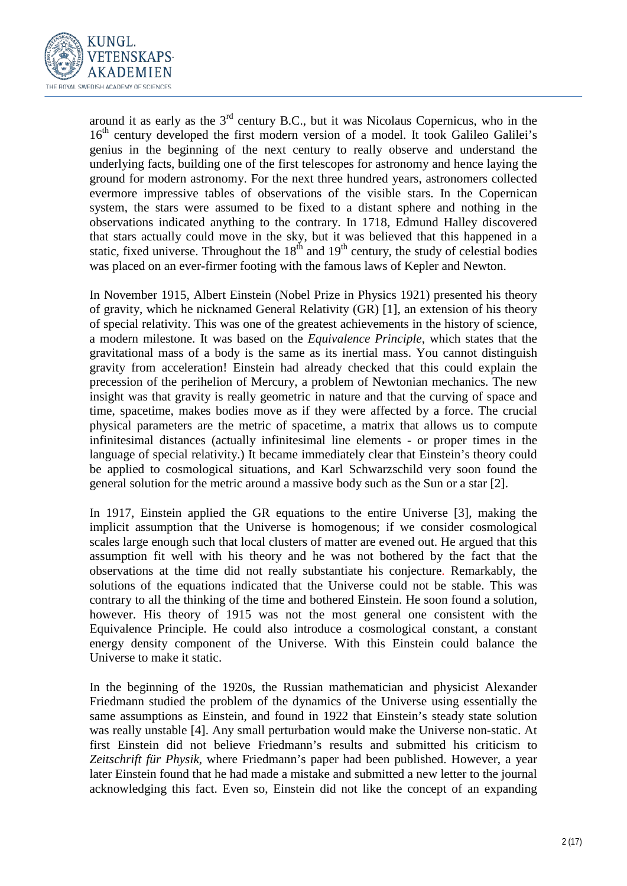

around it as early as the  $3<sup>rd</sup>$  century B.C., but it was Nicolaus Copernicus, who in the  $16<sup>th</sup>$  century developed the first modern version of a model. It took Galileo Galilei's genius in the beginning of the next century to really observe and understand the underlying facts, building one of the first telescopes for astronomy and hence laying the ground for modern astronomy. For the next three hundred years, astronomers collected evermore impressive tables of observations of the visible stars. In the Copernican system, the stars were assumed to be fixed to a distant sphere and nothing in the observations indicated anything to the contrary. In 1718, Edmund Halley discovered that stars actually could move in the sky, but it was believed that this happened in a static, fixed universe. Throughout the  $18<sup>th</sup>$  and  $19<sup>th</sup>$  century, the study of celestial bodies was placed on an ever-firmer footing with the famous laws of Kepler and Newton.

In November 1915, Albert Einstein (Nobel Prize in Physics 1921) presented his theory of gravity, which he nicknamed General Relativity (GR) [1], an extension of his theory of special relativity. This was one of the greatest achievements in the history of science, a modern milestone. It was based on the *Equivalence Principle*, which states that the gravitational mass of a body is the same as its inertial mass. You cannot distinguish gravity from acceleration! Einstein had already checked that this could explain the precession of the perihelion of Mercury, a problem of Newtonian mechanics. The new insight was that gravity is really geometric in nature and that the curving of space and time, spacetime, makes bodies move as if they were affected by a force. The crucial physical parameters are the metric of spacetime, a matrix that allows us to compute infinitesimal distances (actually infinitesimal line elements - or proper times in the language of special relativity.) It became immediately clear that Einstein's theory could be applied to cosmological situations, and Karl Schwarzschild very soon found the general solution for the metric around a massive body such as the Sun or a star [2].

In 1917, Einstein applied the GR equations to the entire Universe [3], making the implicit assumption that the Universe is homogenous; if we consider cosmological scales large enough such that local clusters of matter are evened out. He argued that this assumption fit well with his theory and he was not bothered by the fact that the observations at the time did not really substantiate his conjecture. Remarkably, the solutions of the equations indicated that the Universe could not be stable. This was contrary to all the thinking of the time and bothered Einstein. He soon found a solution, however. His theory of 1915 was not the most general one consistent with the Equivalence Principle. He could also introduce a cosmological constant, a constant energy density component of the Universe. With this Einstein could balance the Universe to make it static.

In the beginning of the 1920s, the Russian mathematician and physicist Alexander Friedmann studied the problem of the dynamics of the Universe using essentially the same assumptions as Einstein, and found in 1922 that Einstein's steady state solution was really unstable [4]. Any small perturbation would make the Universe non-static. At first Einstein did not believe Friedmann's results and submitted his criticism to *Zeitschrift für Physik*, where Friedmann's paper had been published. However, a year later Einstein found that he had made a mistake and submitted a new letter to the journal acknowledging this fact. Even so, Einstein did not like the concept of an expanding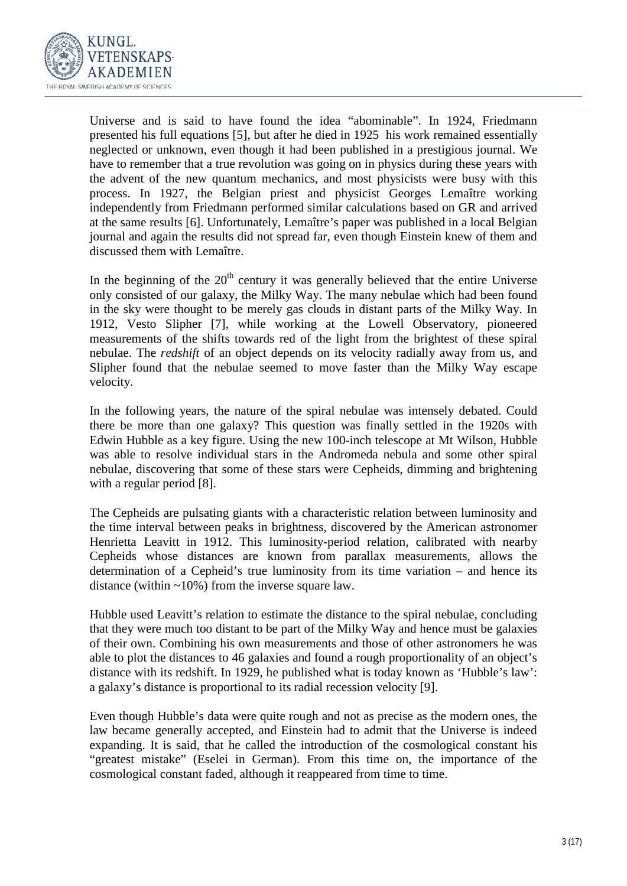

Universe and is said to have found the idea "abominable". In 1924, Friedmann presented his full equations [5], but after he died in 1925 his work remained essentially neglected or unknown, even though it had been published in a prestigious journal. We have to remember that a true revolution was going on in physics during these years with the advent of the new quantum mechanics, and most physicists were busy with this process. In 1927, the Belgian priest and physicist Georges Lemaître working independently from Friedmann performed similar calculations based on GR and arrived at the same results [6]. Unfortunately, Lemaître's paper was published in a local Belgian journal and again the results did not spread far, even though Einstein knew of them and discussed them with Lemaître.

In the beginning of the  $20<sup>th</sup>$  century it was generally believed that the entire Universe only consisted of our galaxy, the Milky Way. The many nebulae which had been found in the sky were thought to be merely gas clouds in distant parts of the Milky Way. In 1912, Vesto Slipher [7], while working at the Lowell Observatory, pioneered measurements of the shifts towards red of the light from the brightest of these spiral nebulae. The *redshift* of an object depends on its velocity radially away from us, and Slipher found that the nebulae seemed to move faster than the Milky Way escape velocity.

In the following years, the nature of the spiral nebulae was intensely debated. Could there be more than one galaxy? This question was finally settled in the 1920s with Edwin Hubble as a key figure. Using the new 100-inch telescope at Mt Wilson, Hubble was able to resolve individual stars in the Andromeda nebula and some other spiral nebulae, discovering that some of these stars were Cepheids, dimming and brightening with a regular period [8].

The Cepheids are pulsating giants with a characteristic relation between luminosity and the time interval between peaks in brightness, discovered by the American astronomer Henrietta Leavitt in 1912. This luminosity-period relation, calibrated with nearby Cepheids whose distances are known from parallax measurements, allows the determination of a Cepheid's true luminosity from its time variation – and hence its distance (within  $~10\%$ ) from the inverse square law.

Hubble used Leavitt's relation to estimate the distance to the spiral nebulae, concluding that they were much too distant to be part of the Milky Way and hence must be galaxies of their own. Combining his own measurements and those of other astronomers he was able to plot the distances to 46 galaxies and found a rough proportionality of an object's distance with its redshift. In 1929, he published what is today known as 'Hubble's law': a galaxy's distance is proportional to its radial recession velocity [9].

Even though Hubble's data were quite rough and not as precise as the modern ones, the law became generally accepted, and Einstein had to admit that the Universe is indeed expanding. It is said, that he called the introduction of the cosmological constant his "greatest mistake" (Eselei in German). From this time on, the importance of the cosmological constant faded, although it reappeared from time to time.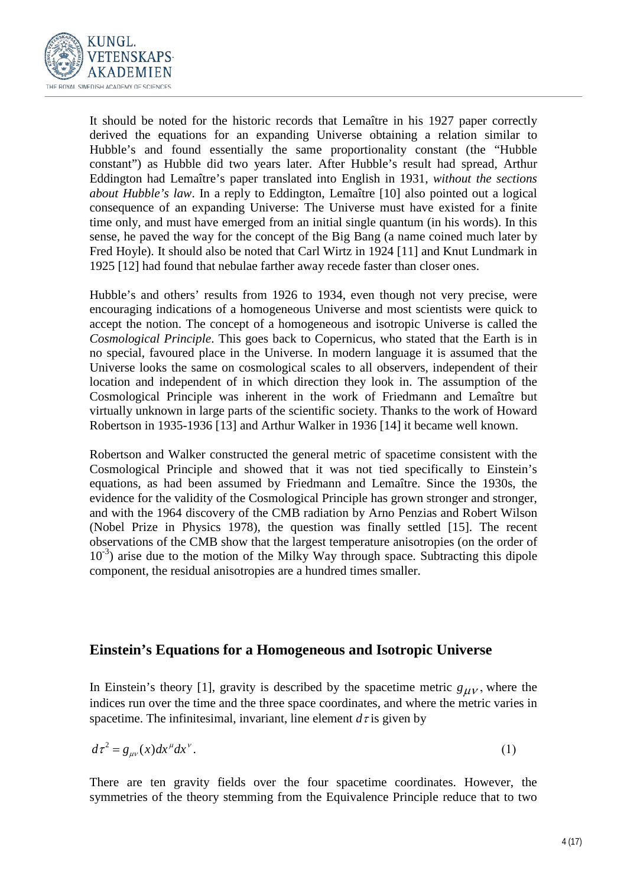

It should be noted for the historic records that Lemaître in his 1927 paper correctly derived the equations for an expanding Universe obtaining a relation similar to Hubble's and found essentially the same proportionality constant (the "Hubble constant") as Hubble did two years later. After Hubble's result had spread, Arthur Eddington had Lemaître's paper translated into English in 1931, *without the sections about Hubble's law*. In a reply to Eddington, Lemaître [10] also pointed out a logical consequence of an expanding Universe: The Universe must have existed for a finite time only, and must have emerged from an initial single quantum (in his words). In this sense, he paved the way for the concept of the Big Bang (a name coined much later by Fred Hoyle). It should also be noted that Carl Wirtz in 1924 [11] and Knut Lundmark in 1925 [12] had found that nebulae farther away recede faster than closer ones.

Hubble's and others' results from 1926 to 1934, even though not very precise, were encouraging indications of a homogeneous Universe and most scientists were quick to accept the notion. The concept of a homogeneous and isotropic Universe is called the *Cosmological Principle*. This goes back to Copernicus, who stated that the Earth is in no special, favoured place in the Universe. In modern language it is assumed that the Universe looks the same on cosmological scales to all observers, independent of their location and independent of in which direction they look in. The assumption of the Cosmological Principle was inherent in the work of Friedmann and Lemaître but virtually unknown in large parts of the scientific society. Thanks to the work of Howard Robertson in 1935-1936 [13] and Arthur Walker in 1936 [14] it became well known.

Robertson and Walker constructed the general metric of spacetime consistent with the Cosmological Principle and showed that it was not tied specifically to Einstein's equations, as had been assumed by Friedmann and Lemaître. Since the 1930s, the evidence for the validity of the Cosmological Principle has grown stronger and stronger, and with the 1964 discovery of the CMB radiation by Arno Penzias and Robert Wilson (Nobel Prize in Physics 1978), the question was finally settled [15]. The recent observations of the CMB show that the largest temperature anisotropies (on the order of 10<sup>-3</sup>) arise due to the motion of the Milky Way through space. Subtracting this dipole component, the residual anisotropies are a hundred times smaller.

#### **Einstein's Equations for a Homogeneous and Isotropic Universe**

In Einstein's theory [1], gravity is described by the spacetime metric  $g_{\mu\nu}$ , where the indices run over the time and the three space coordinates, and where the metric varies in spacetime. The infinitesimal, invariant, line element  $d\tau$  is given by

$$
d\tau^2 = g_{\mu\nu}(x)dx^{\mu}dx^{\nu}.
$$
 (1)

There are ten gravity fields over the four spacetime coordinates. However, the symmetries of the theory stemming from the Equivalence Principle reduce that to two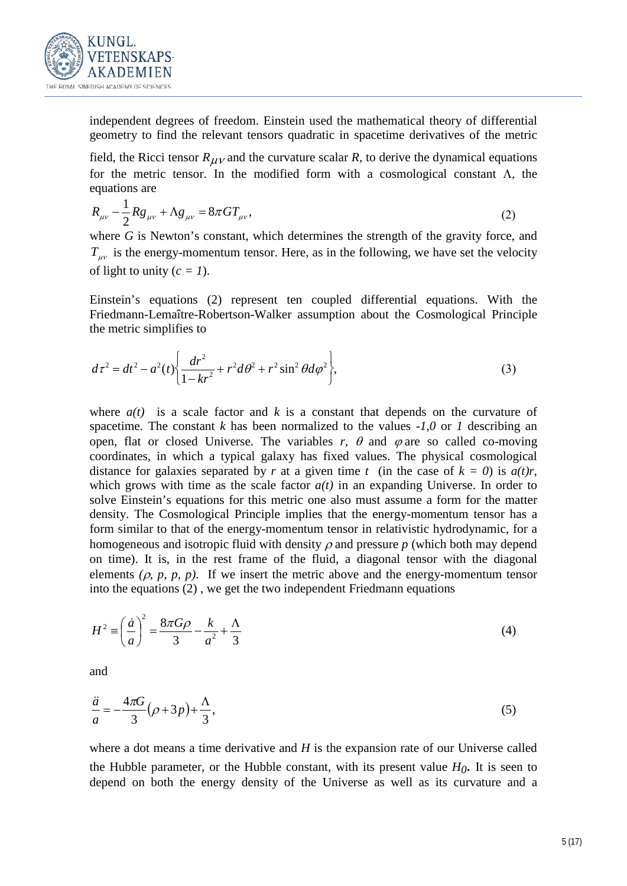

independent degrees of freedom. Einstein used the mathematical theory of differential geometry to find the relevant tensors quadratic in spacetime derivatives of the metric

field, the Ricci tensor  $R_{\mu\nu}$  and the curvature scalar *R*, to derive the dynamical equations for the metric tensor. In the modified form with a cosmological constant  $\Lambda$ , the equations are

$$
R_{\mu\nu} - \frac{1}{2} Rg_{\mu\nu} + \Lambda g_{\mu\nu} = 8\pi G T_{\mu\nu},
$$
\n(2)

where *G* is Newton's constant, which determines the strength of the gravity force, and  $T_{\mu\nu}$  is the energy-momentum tensor. Here, as in the following, we have set the velocity of light to unity  $(c = 1)$ .

Einstein's equations (2) represent ten coupled differential equations. With the Friedmann-Lemaître-Robertson-Walker assumption about the Cosmological Principle the metric simplifies to

$$
d\tau^2 = dt^2 - a^2(t) \left\{ \frac{dr^2}{1 - kr^2} + r^2 d\theta^2 + r^2 \sin^2 \theta d\varphi^2 \right\},
$$
 (3)

where  $a(t)$  is a scale factor and  $k$  is a constant that depends on the curvature of spacetime. The constant  $k$  has been normalized to the values  $-1,0$  or  $1$  describing an open, flat or closed Universe. The variables  $r$ ,  $\theta$  and  $\varphi$  are so called co-moving coordinates, in which a typical galaxy has fixed values. The physical cosmological distance for galaxies separated by *r* at a given time *t* (in the case of  $k = 0$ ) is  $a(t)r$ , which grows with time as the scale factor  $a(t)$  in an expanding Universe. In order to solve Einstein's equations for this metric one also must assume a form for the matter density. The Cosmological Principle implies that the energy-momentum tensor has a form similar to that of the energy-momentum tensor in relativistic hydrodynamic, for a homogeneous and isotropic fluid with density  $\rho$  and pressure  $p$  (which both may depend on time). It is, in the rest frame of the fluid, a diagonal tensor with the diagonal elements  $(\rho, p, p, p)$ . If we insert the metric above and the energy-momentum tensor into the equations (2) , we get the two independent Friedmann equations

$$
H^2 \equiv \left(\frac{\dot{a}}{a}\right)^2 = \frac{8\pi G\rho}{3} - \frac{k}{a^2} + \frac{\Lambda}{3}
$$
 (4)

and

$$
\frac{\ddot{a}}{a} = -\frac{4\pi G}{3}(\rho + 3p) + \frac{\Lambda}{3},\tag{5}
$$

where a dot means a time derivative and *H* is the expansion rate of our Universe called the Hubble parameter, or the Hubble constant, with its present value  $H_0$ . It is seen to depend on both the energy density of the Universe as well as its curvature and a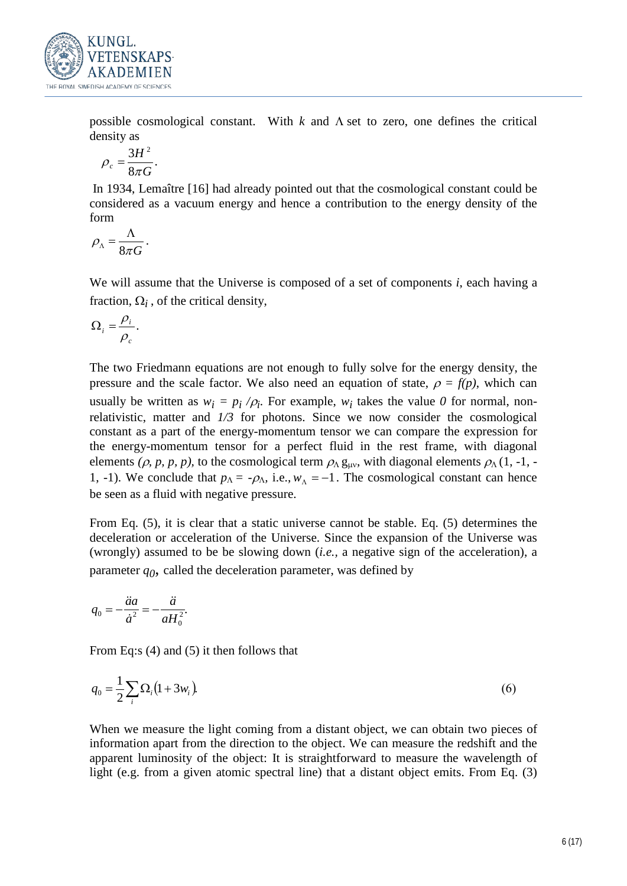

possible cosmological constant. With *k* and Λ set to zero, one defines the critical density as

$$
\rho_c=\frac{3H^2}{8\pi G}.
$$

In 1934, Lemaître [16] had already pointed out that the cosmological constant could be considered as a vacuum energy and hence a contribution to the energy density of the form

$$
\rho_{\Lambda}=\frac{\Lambda}{8\pi G}\,.
$$

We will assume that the Universe is composed of a set of components *i*, each having a fraction,  $\Omega_i$ , of the critical density,

$$
\Omega_i = \frac{\rho_i}{\rho_c}.
$$

The two Friedmann equations are not enough to fully solve for the energy density, the pressure and the scale factor. We also need an equation of state,  $\rho = f(p)$ , which can usually be written as  $w_i = p_i / \rho_i$ . For example,  $w_i$  takes the value 0 for normal, nonrelativistic, matter and *1/3* for photons. Since we now consider the cosmological constant as a part of the energy-momentum tensor we can compare the expression for the energy-momentum tensor for a perfect fluid in the rest frame, with diagonal elements ( $\rho$ ,  $p$ ,  $p$ ), to the cosmological term  $\rho_{\Lambda}$  g<sub>uv</sub>, with diagonal elements  $\rho_{\Lambda}$  (1, -1, -1, -1). We conclude that  $p_{\Lambda} = -\rho_{\Lambda}$ , i.e.,  $w_{\Lambda} = -1$ . The cosmological constant can hence be seen as a fluid with negative pressure.

From Eq. (5), it is clear that a static universe cannot be stable. Eq. (5) determines the deceleration or acceleration of the Universe. Since the expansion of the Universe was (wrongly) assumed to be be slowing down (*i.e.,* a negative sign of the acceleration), a parameter  $q_0$ , called the deceleration parameter, was defined by

$$
q_0 = -\frac{\ddot{a}a}{\dot{a}^2} = -\frac{\ddot{a}}{aH_0^2}.
$$

From Eq:s (4) and (5) it then follows that

$$
q_0 = \frac{1}{2} \sum_i \Omega_i (1 + 3w_i). \tag{6}
$$

When we measure the light coming from a distant object, we can obtain two pieces of information apart from the direction to the object. We can measure the redshift and the apparent luminosity of the object: It is straightforward to measure the wavelength of light (e.g. from a given atomic spectral line) that a distant object emits. From Eq. (3)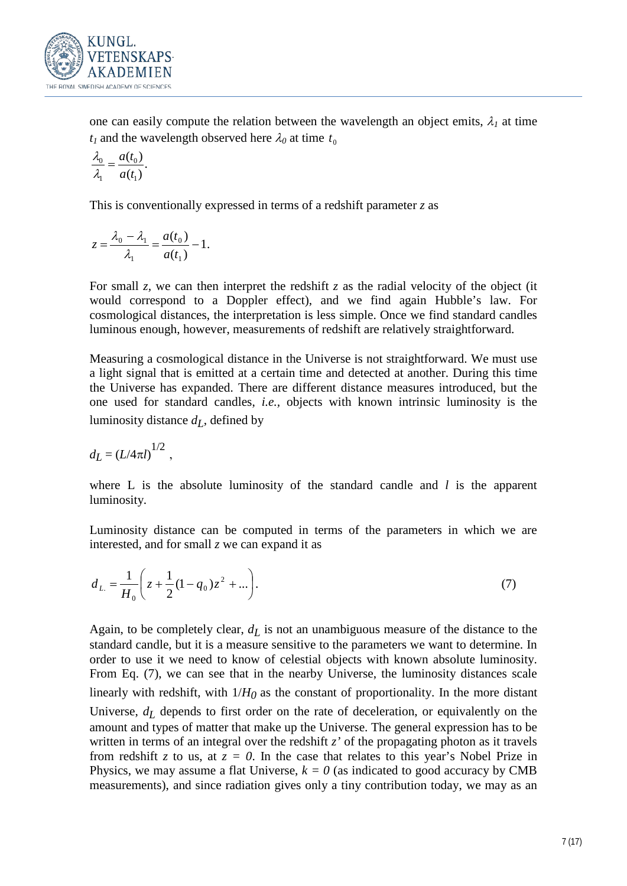

one can easily compute the relation between the wavelength an object emits,  $\lambda_l$  at time  $t_1$  and the wavelength observed here  $\lambda_0$  at time  $t_0$ 

$$
\frac{\lambda_0}{\lambda_1} = \frac{a(t_0)}{a(t_1)}.
$$

This is conventionally expressed in terms of a redshift parameter *z* as

$$
z = \frac{\lambda_0 - \lambda_1}{\lambda_1} = \frac{a(t_0)}{a(t_1)} - 1.
$$

For small *z*, we can then interpret the redshift *z* as the radial velocity of the object (it would correspond to a Doppler effect), and we find again Hubble's law. For cosmological distances, the interpretation is less simple. Once we find standard candles luminous enough, however, measurements of redshift are relatively straightforward.

Measuring a cosmological distance in the Universe is not straightforward. We must use a light signal that is emitted at a certain time and detected at another. During this time the Universe has expanded. There are different distance measures introduced, but the one used for standard candles, *i.e.,* objects with known intrinsic luminosity is the luminosity distance  $d_l$ , defined by

$$
d_L = (L/4\pi l)^{1/2} ,
$$

where L is the absolute luminosity of the standard candle and *l* is the apparent luminosity.

Luminosity distance can be computed in terms of the parameters in which we are interested, and for small *z* we can expand it as

$$
d_{L.} = \frac{1}{H_0} \left( z + \frac{1}{2} (1 - q_0) z^2 + \dots \right). \tag{7}
$$

Again, to be completely clear,  $d<sub>L</sub>$  is not an unambiguous measure of the distance to the standard candle, but it is a measure sensitive to the parameters we want to determine. In order to use it we need to know of celestial objects with known absolute luminosity. From Eq. (7), we can see that in the nearby Universe, the luminosity distances scale linearly with redshift, with  $1/H_0$  as the constant of proportionality. In the more distant Universe,  $d_L$  depends to first order on the rate of deceleration, or equivalently on the amount and types of matter that make up the Universe. The general expression has to be written in terms of an integral over the redshift  $z'$  of the propagating photon as it travels from redshift *z* to us, at  $z = 0$ . In the case that relates to this year's Nobel Prize in Physics, we may assume a flat Universe,  $k = 0$  (as indicated to good accuracy by CMB measurements), and since radiation gives only a tiny contribution today, we may as an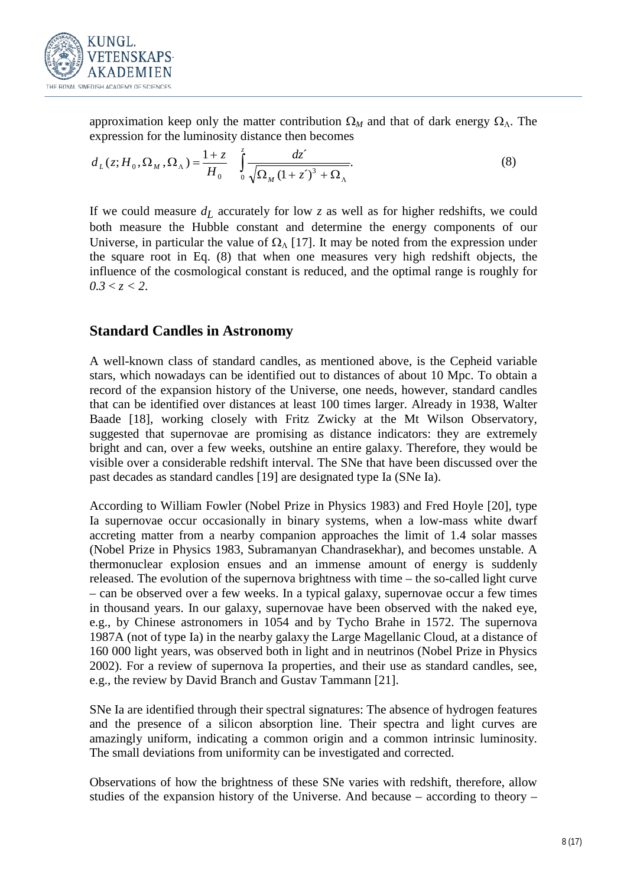

approximation keep only the matter contribution  $\Omega_M$  and that of dark energy  $\Omega_{\Lambda}$ . The expression for the luminosity distance then becomes

$$
d_L(z; H_0, \Omega_M, \Omega_\Lambda) = \frac{1+z}{H_0} \int_0^z \frac{dz'}{\sqrt{\Omega_M (1+z')^3 + \Omega_\Lambda}}.
$$
 (8)

If we could measure  $d<sub>L</sub>$  accurately for low  $z$  as well as for higher redshifts, we could both measure the Hubble constant and determine the energy components of our Universe, in particular the value of  $\Omega_{\Lambda}$  [17]. It may be noted from the expression under the square root in Eq. (8) that when one measures very high redshift objects, the influence of the cosmological constant is reduced, and the optimal range is roughly for  $0.3 < z < 2$ .

#### **Standard Candles in Astronomy**

A well-known class of standard candles, as mentioned above, is the Cepheid variable stars, which nowadays can be identified out to distances of about 10 Mpc. To obtain a record of the expansion history of the Universe, one needs, however, standard candles that can be identified over distances at least 100 times larger. Already in 1938, Walter Baade [18], working closely with Fritz Zwicky at the Mt Wilson Observatory, suggested that supernovae are promising as distance indicators: they are extremely bright and can, over a few weeks, outshine an entire galaxy. Therefore, they would be visible over a considerable redshift interval. The SNe that have been discussed over the past decades as standard candles [19] are designated type Ia (SNe Ia).

According to William Fowler (Nobel Prize in Physics 1983) and Fred Hoyle [20], type Ia supernovae occur occasionally in binary systems, when a low-mass white dwarf accreting matter from a nearby companion approaches the limit of 1.4 solar masses (Nobel Prize in Physics 1983, Subramanyan Chandrasekhar), and becomes unstable. A thermonuclear explosion ensues and an immense amount of energy is suddenly released. The evolution of the supernova brightness with time – the so-called light curve – can be observed over a few weeks. In a typical galaxy, supernovae occur a few times in thousand years. In our galaxy, supernovae have been observed with the naked eye, e.g., by Chinese astronomers in 1054 and by Tycho Brahe in 1572. The supernova 1987A (not of type Ia) in the nearby galaxy the Large Magellanic Cloud, at a distance of 160 000 light years, was observed both in light and in neutrinos (Nobel Prize in Physics 2002). For a review of supernova Ia properties, and their use as standard candles, see, e.g., the review by David Branch and Gustav Tammann [21].

SNe Ia are identified through their spectral signatures: The absence of hydrogen features and the presence of a silicon absorption line. Their spectra and light curves are amazingly uniform, indicating a common origin and a common intrinsic luminosity. The small deviations from uniformity can be investigated and corrected.

Observations of how the brightness of these SNe varies with redshift, therefore, allow studies of the expansion history of the Universe. And because – according to theory –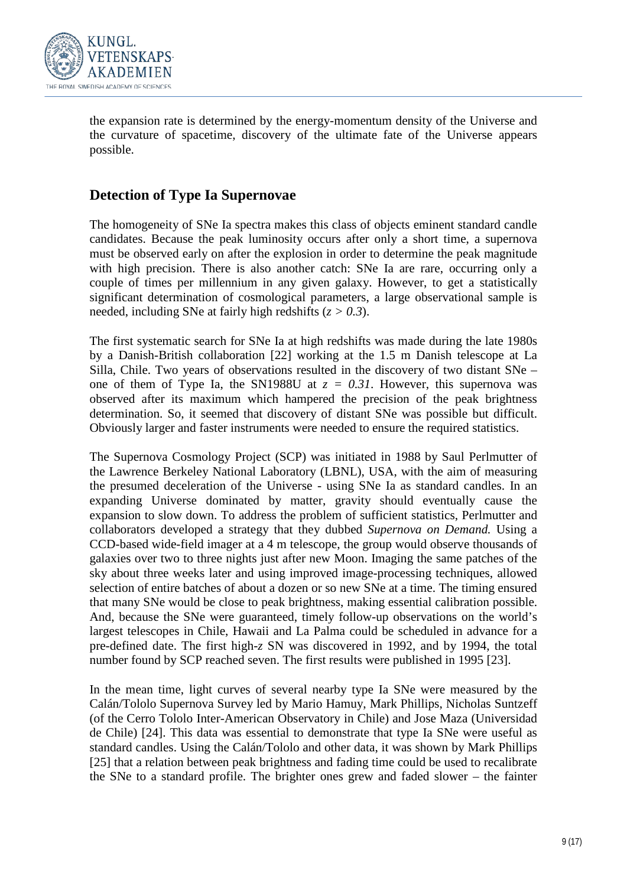

the expansion rate is determined by the energy-momentum density of the Universe and the curvature of spacetime, discovery of the ultimate fate of the Universe appears possible.

### **Detection of Type Ia Supernovae**

The homogeneity of SNe Ia spectra makes this class of objects eminent standard candle candidates. Because the peak luminosity occurs after only a short time, a supernova must be observed early on after the explosion in order to determine the peak magnitude with high precision. There is also another catch: SNe Ia are rare, occurring only a couple of times per millennium in any given galaxy. However, to get a statistically significant determination of cosmological parameters, a large observational sample is needed, including SNe at fairly high redshifts (*z > 0.3*).

The first systematic search for SNe Ia at high redshifts was made during the late 1980s by a Danish-British collaboration [22] working at the 1.5 m Danish telescope at La Silla, Chile. Two years of observations resulted in the discovery of two distant SNe – one of them of Type Ia, the SN1988U at  $z = 0.31$ . However, this supernova was observed after its maximum which hampered the precision of the peak brightness determination. So, it seemed that discovery of distant SNe was possible but difficult. Obviously larger and faster instruments were needed to ensure the required statistics.

The Supernova Cosmology Project (SCP) was initiated in 1988 by Saul Perlmutter of the Lawrence Berkeley National Laboratory (LBNL), USA, with the aim of measuring the presumed deceleration of the Universe - using SNe Ia as standard candles. In an expanding Universe dominated by matter, gravity should eventually cause the expansion to slow down. To address the problem of sufficient statistics, Perlmutter and collaborators developed a strategy that they dubbed *Supernova on Demand.* Using a CCD-based wide-field imager at a 4 m telescope, the group would observe thousands of galaxies over two to three nights just after new Moon. Imaging the same patches of the sky about three weeks later and using improved image-processing techniques, allowed selection of entire batches of about a dozen or so new SNe at a time. The timing ensured that many SNe would be close to peak brightness, making essential calibration possible. And, because the SNe were guaranteed, timely follow-up observations on the world's largest telescopes in Chile, Hawaii and La Palma could be scheduled in advance for a pre-defined date. The first high-*z* SN was discovered in 1992, and by 1994, the total number found by SCP reached seven. The first results were published in 1995 [23].

In the mean time, light curves of several nearby type Ia SNe were measured by the Calán/Tololo Supernova Survey led by Mario Hamuy, Mark Phillips, Nicholas Suntzeff (of the Cerro Tololo Inter-American Observatory in Chile) and Jose Maza (Universidad de Chile) [24]. This data was essential to demonstrate that type Ia SNe were useful as standard candles. Using the Calán/Tololo and other data, it was shown by Mark Phillips [25] that a relation between peak brightness and fading time could be used to recalibrate the SNe to a standard profile. The brighter ones grew and faded slower – the fainter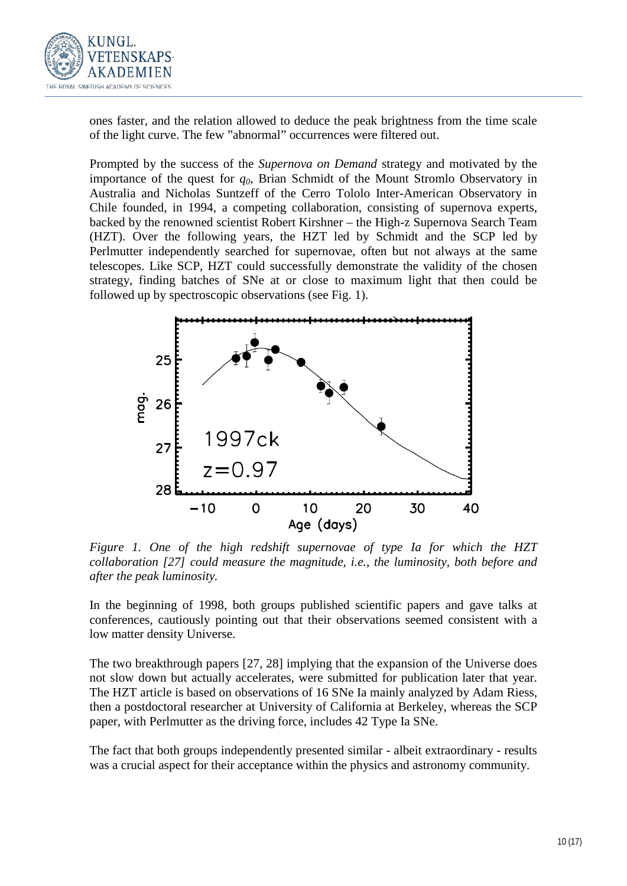

ones faster, and the relation allowed to deduce the peak brightness from the time scale of the light curve. The few "abnormal" occurrences were filtered out.

Prompted by the success of the *Supernova on Demand* strategy and motivated by the importance of the quest for *q0*, Brian Schmidt of the Mount Stromlo Observatory in Australia and Nicholas Suntzeff of the Cerro Tololo Inter-American Observatory in Chile founded, in 1994, a competing collaboration, consisting of supernova experts, backed by the renowned scientist Robert Kirshner – the High-z Supernova Search Team (HZT). Over the following years, the HZT led by Schmidt and the SCP led by Perlmutter independently searched for supernovae, often but not always at the same telescopes. Like SCP, HZT could successfully demonstrate the validity of the chosen strategy, finding batches of SNe at or close to maximum light that then could be followed up by spectroscopic observations (see Fig. 1).



*Figure 1. One of the high redshift supernovae of type Ia for which the HZT collaboration [27] could measure the magnitude, i.e., the luminosity, both before and after the peak luminosity.*

In the beginning of 1998, both groups published scientific papers and gave talks at conferences, cautiously pointing out that their observations seemed consistent with a low matter density Universe.

The two breakthrough papers [27, 28] implying that the expansion of the Universe does not slow down but actually accelerates, were submitted for publication later that year. The HZT article is based on observations of 16 SNe Ia mainly analyzed by Adam Riess, then a postdoctoral researcher at University of California at Berkeley, whereas the SCP paper, with Perlmutter as the driving force, includes 42 Type Ia SNe.

The fact that both groups independently presented similar - albeit extraordinary - results was a crucial aspect for their acceptance within the physics and astronomy community.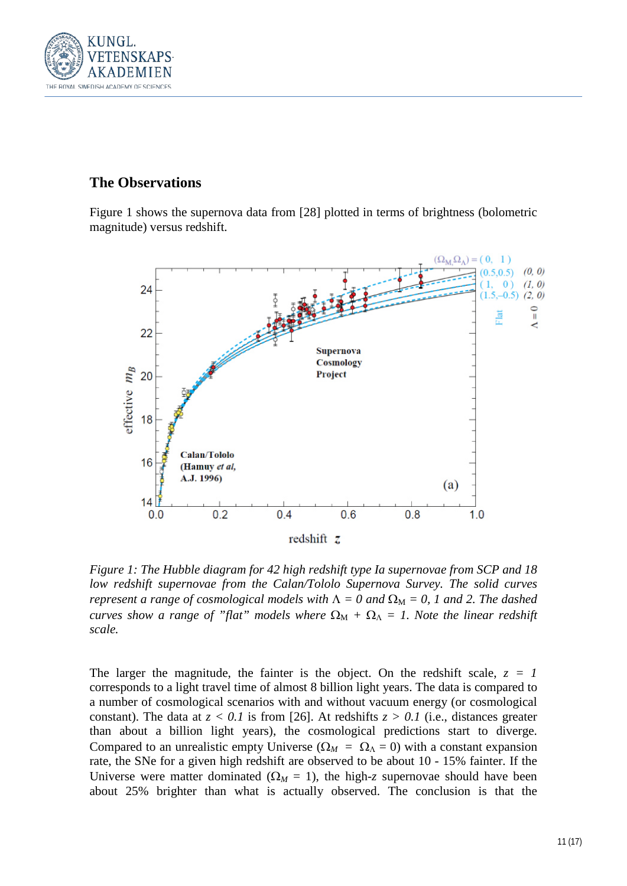

#### **The Observations**

Figure 1 shows the supernova data from [28] plotted in terms of brightness (bolometric magnitude) versus redshift.



*Figure 1: The Hubble diagram for 42 high redshift type Ia supernovae from SCP and 18 low redshift supernovae from the Calan/Tololo Supernova Survey. The solid curves represent a range of cosmological models with*  $\Lambda = 0$  *and*  $\Omega_M = 0$ , 1 *and* 2. The dashed *curves show a range of "flat" models where*  $\Omega_M + \Omega_{\Lambda} = 1$ . Note the linear redshift *scale.*

The larger the magnitude, the fainter is the object. On the redshift scale,  $z = 1$ corresponds to a light travel time of almost 8 billion light years. The data is compared to a number of cosmological scenarios with and without vacuum energy (or cosmological constant). The data at  $z < 0.1$  is from [26]. At redshifts  $z > 0.1$  (i.e., distances greater than about a billion light years), the cosmological predictions start to diverge. Compared to an unrealistic empty Universe ( $\Omega_M = \Omega_{\Lambda} = 0$ ) with a constant expansion rate, the SNe for a given high redshift are observed to be about 10 - 15% fainter. If the Universe were matter dominated ( $\Omega_M = 1$ ), the high-*z* supernovae should have been about 25% brighter than what is actually observed. The conclusion is that the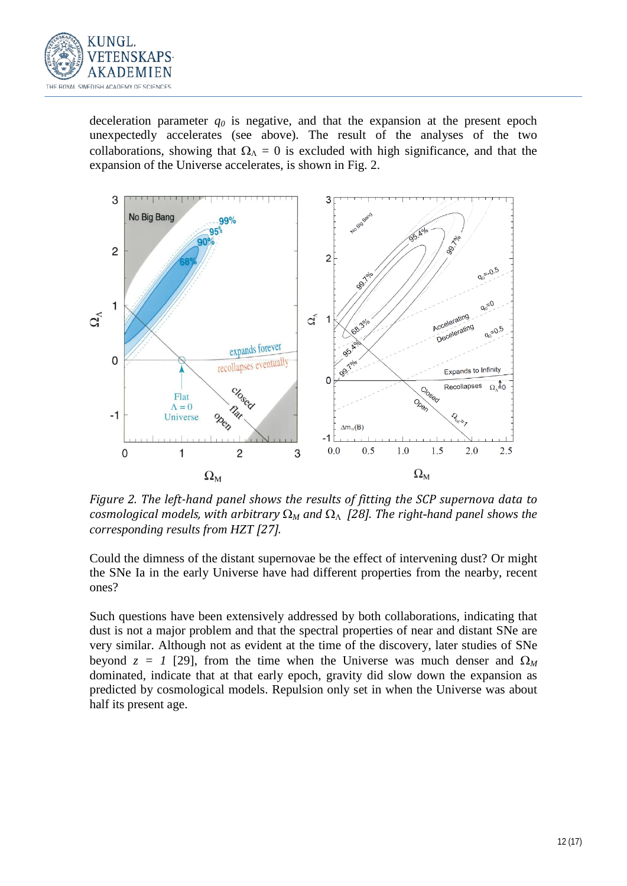

deceleration parameter  $q_0$  is negative, and that the expansion at the present epoch unexpectedly accelerates (see above). The result of the analyses of the two collaborations, showing that  $\Omega_{\Lambda} = 0$  is excluded with high significance, and that the expansion of the Universe accelerates, is shown in Fig. 2.



*Figure 2. The left-hand panel shows the results of fitting the SCP supernova data to cosmological models, with arbitrary*  $\Omega_M$  *and*  $\Omega_{\Lambda}$  [28]. The *right-hand panel shows the corresponding results from HZT [27].*

Could the dimness of the distant supernovae be the effect of intervening dust? Or might the SNe Ia in the early Universe have had different properties from the nearby, recent ones?

Such questions have been extensively addressed by both collaborations, indicating that dust is not a major problem and that the spectral properties of near and distant SNe are very similar. Although not as evident at the time of the discovery, later studies of SNe beyond  $z = 1$  [29], from the time when the Universe was much denser and  $\Omega_M$ dominated, indicate that at that early epoch, gravity did slow down the expansion as predicted by cosmological models. Repulsion only set in when the Universe was about half its present age.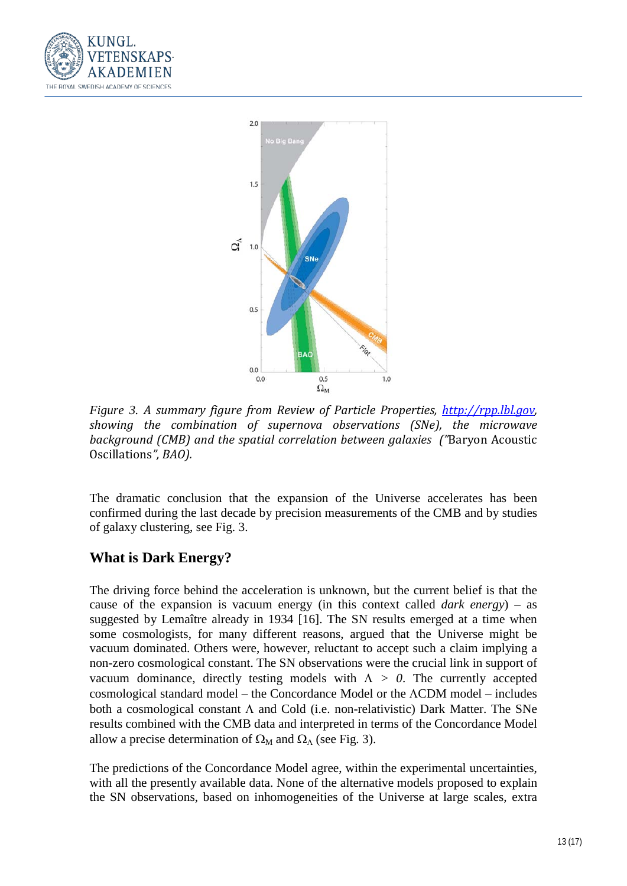



*Figure 3. A summary figure from Review of Particle Properties, [http://rpp.lbl.gov,](http://rpp.lbl.gov/) showing the combination of supernova observations (SNe), the microwave background (CMB) and the spatial correlation between galaxies ("*Baryon Acoustic Oscillations*", BAO).*

The dramatic conclusion that the expansion of the Universe accelerates has been confirmed during the last decade by precision measurements of the CMB and by studies of galaxy clustering, see Fig. 3.

#### **What is Dark Energy?**

The driving force behind the acceleration is unknown, but the current belief is that the cause of the expansion is vacuum energy (in this context called *dark energy*) – as suggested by Lemaître already in 1934 [16]. The SN results emerged at a time when some cosmologists, for many different reasons, argued that the Universe might be vacuum dominated. Others were, however, reluctant to accept such a claim implying a non-zero cosmological constant. The SN observations were the crucial link in support of vacuum dominance, directly testing models with  $\Lambda > 0$ . The currently accepted cosmological standard model – the Concordance Model or the ΛCDM model – includes both a cosmological constant Λ and Cold (i.e. non-relativistic) Dark Matter. The SNe results combined with the CMB data and interpreted in terms of the Concordance Model allow a precise determination of  $\Omega_M$  and  $\Omega_{\Lambda}$  (see Fig. 3).

The predictions of the Concordance Model agree, within the experimental uncertainties, with all the presently available data. None of the alternative models proposed to explain the SN observations, based on inhomogeneities of the Universe at large scales, extra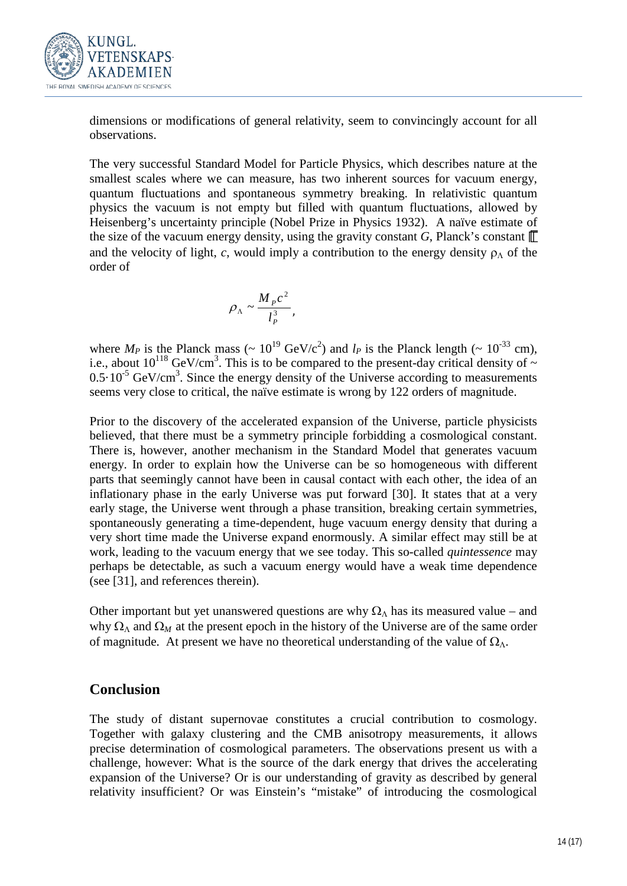

dimensions or modifications of general relativity, seem to convincingly account for all observations.

The very successful Standard Model for Particle Physics, which describes nature at the smallest scales where we can measure, has two inherent sources for vacuum energy, quantum fluctuations and spontaneous symmetry breaking. In relativistic quantum physics the vacuum is not empty but filled with quantum fluctuations, allowed by Heisenberg's uncertainty principle (Nobel Prize in Physics 1932). A naïve estimate of the size of the vacuum energy density, using the gravity constant *G*, Planck's constant  $\mathbb{F}$ and the velocity of light, *c*, would imply a contribution to the energy density  $\rho_{\Lambda}$  of the order of

$$
\rho_{\Lambda} \sim \frac{M_{p}c^{2}}{l_{p}^{3}},
$$

where  $M_P$  is the Planck mass ( $\sim 10^{19} \text{ GeV/c}^2$ ) and  $l_P$  is the Planck length ( $\sim 10^{-33} \text{ cm}$ ), i.e., about  $10^{118}$  GeV/cm<sup>3</sup>. This is to be compared to the present-day critical density of  $\sim$  $0.5 \cdot 10^{-5}$  GeV/cm<sup>3</sup>. Since the energy density of the Universe according to measurements seems very close to critical, the naïve estimate is wrong by 122 orders of magnitude.

Prior to the discovery of the accelerated expansion of the Universe, particle physicists believed, that there must be a symmetry principle forbidding a cosmological constant. There is, however, another mechanism in the Standard Model that generates vacuum energy. In order to explain how the Universe can be so homogeneous with different parts that seemingly cannot have been in causal contact with each other, the idea of an inflationary phase in the early Universe was put forward [30]. It states that at a very early stage, the Universe went through a phase transition, breaking certain symmetries, spontaneously generating a time-dependent, huge vacuum energy density that during a very short time made the Universe expand enormously. A similar effect may still be at work, leading to the vacuum energy that we see today. This so-called *quintessence* may perhaps be detectable, as such a vacuum energy would have a weak time dependence (see [31], and references therein).

Other important but yet unanswered questions are why  $\Omega_{\Lambda}$  has its measured value – and why  $\Omega_{\Lambda}$  and  $\Omega_M$  at the present epoch in the history of the Universe are of the same order of magnitude. At present we have no theoretical understanding of the value of  $\Omega_{\Lambda}$ .

#### **Conclusion**

The study of distant supernovae constitutes a crucial contribution to cosmology. Together with galaxy clustering and the CMB anisotropy measurements, it allows precise determination of cosmological parameters. The observations present us with a challenge, however: What is the source of the dark energy that drives the accelerating expansion of the Universe? Or is our understanding of gravity as described by general relativity insufficient? Or was Einstein's "mistake" of introducing the cosmological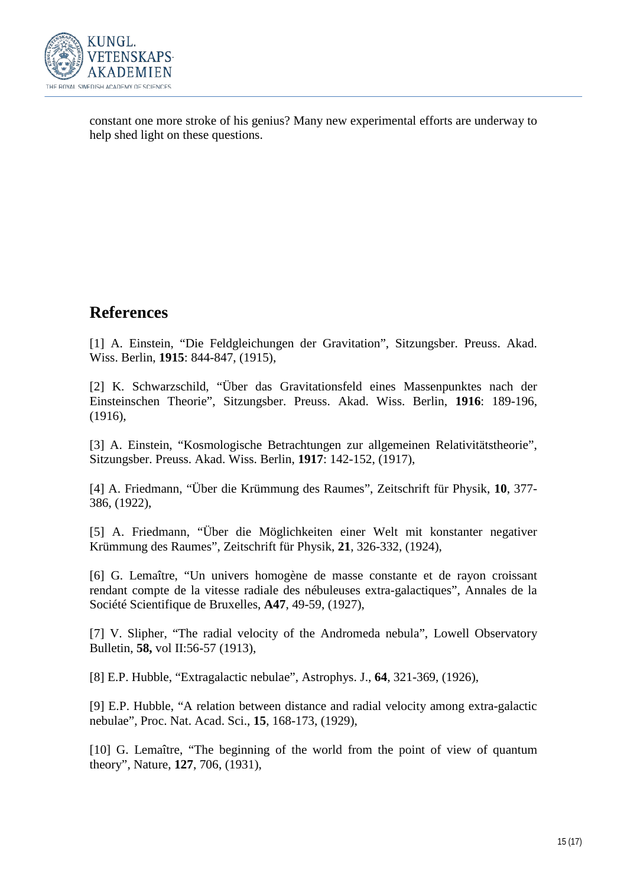

constant one more stroke of his genius? Many new experimental efforts are underway to help shed light on these questions.

# **References**

[1] A. Einstein, "Die Feldgleichungen der Gravitation", Sitzungsber. Preuss. Akad. Wiss. Berlin, **1915**: 844-847, (1915),

[2] K. Schwarzschild, "Über das Gravitationsfeld eines Massenpunktes nach der Einsteinschen Theorie", Sitzungsber. Preuss. Akad. Wiss. Berlin, **1916**: 189-196, (1916),

[3] A. Einstein, "Kosmologische Betrachtungen zur allgemeinen Relativitätstheorie", Sitzungsber. Preuss. Akad. Wiss. Berlin, **1917**: 142-152, (1917),

[4] A. Friedmann, "Über die Krümmung des Raumes", Zeitschrift für Physik, **10**, 377- 386, (1922),

[5] A. Friedmann, "Über die Möglichkeiten einer Welt mit konstanter negativer Krümmung des Raumes", Zeitschrift für Physik, **21**, 326-332, (1924),

[6] G. Lemaître, "Un univers homogène de masse constante et de rayon croissant rendant compte de la vitesse radiale des nébuleuses extra-galactiques", Annales de la Société Scientifique de Bruxelles, **A47**, 49-59, (1927),

[7] V. Slipher, "The radial velocity of the Andromeda nebula", Lowell Observatory Bulletin, **58,** vol II:56-57 (1913),

[8] E.P. Hubble, "Extragalactic nebulae", Astrophys. J., **64**, 321-369, (1926),

[9] E.P. Hubble, "A relation between distance and radial velocity among extra-galactic nebulae", Proc. Nat. Acad. Sci., **15**, 168-173, (1929),

[10] G. Lemaître, "The beginning of the world from the point of view of quantum theory", Nature, **127**, 706, (1931),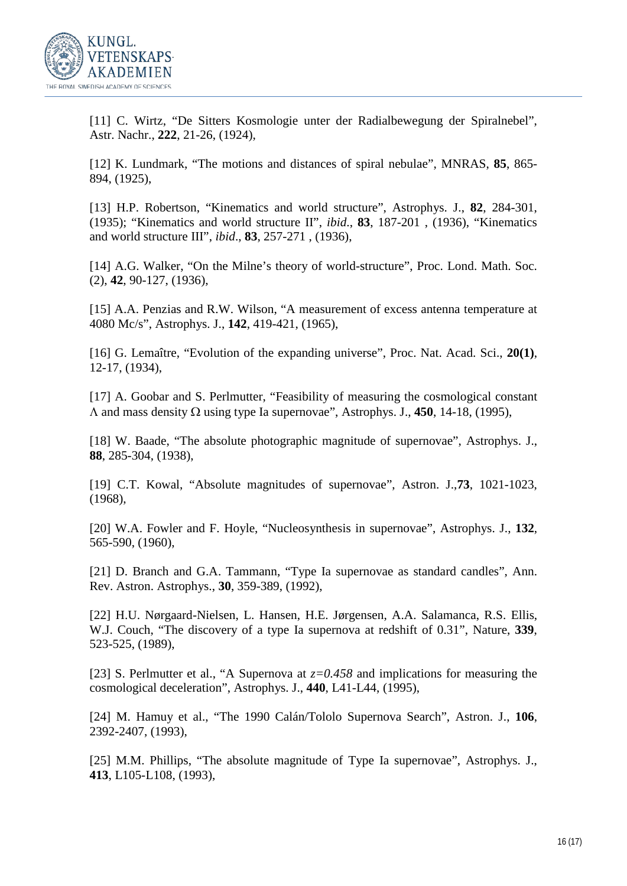

[11] C. Wirtz, "De Sitters Kosmologie unter der Radialbewegung der Spiralnebel", Astr. Nachr., **222**, 21-26, (1924),

[12] K. Lundmark, "The motions and distances of spiral nebulae", MNRAS, **85**, 865- 894, (1925),

[13] H.P. Robertson, "Kinematics and world structure", Astrophys. J., **82**, 284-301, (1935); "Kinematics and world structure II", *ibid*., **83**, 187-201 , (1936), "Kinematics and world structure III", *ibid*., **83**, 257-271 , (1936),

[14] A.G. Walker, "On the Milne's theory of world-structure", Proc. Lond. Math. Soc. (2), **42**, 90-127, (1936),

[15] A.A. Penzias and R.W. Wilson, "A measurement of excess antenna temperature at 4080 Mc/s", Astrophys. J., **142**, 419-421, (1965),

[16] G. Lemaître, "Evolution of the expanding universe", Proc. Nat. Acad. Sci., **20(1)**, 12-17, (1934),

[17] A. Goobar and S. Perlmutter, "Feasibility of measuring the cosmological constant Λ and mass density Ω using type Ia supernovae", Astrophys. J., **450**, 14-18, (1995),

[18] W. Baade, "The absolute photographic magnitude of supernovae", Astrophys. J., **88**, 285-304, (1938),

[19] C.T. Kowal, "Absolute magnitudes of supernovae", Astron. J.,**73**, 1021-1023, (1968),

[20] W.A. Fowler and F. Hoyle, "Nucleosynthesis in supernovae", Astrophys. J., **132**, 565-590, (1960),

[21] D. Branch and G.A. Tammann, "Type Ia supernovae as standard candles", Ann. Rev. Astron. Astrophys., **30**, 359-389, (1992),

[22] H.U. Nørgaard-Nielsen, L. Hansen, H.E. Jørgensen, A.A. Salamanca, R.S. Ellis, W.J. Couch, "The discovery of a type Ia supernova at redshift of 0.31", Nature, **339**, 523-525, (1989),

[23] S. Perlmutter et al., "A Supernova at *z=0.458* and implications for measuring the cosmological deceleration", Astrophys. J., **440**, L41-L44, (1995),

[24] M. Hamuy et al., "The 1990 Calán/Tololo Supernova Search", Astron. J., **106**, 2392-2407, (1993),

[25] M.M. Phillips, "The absolute magnitude of Type Ia supernovae", Astrophys. J., **413**, L105-L108, (1993),